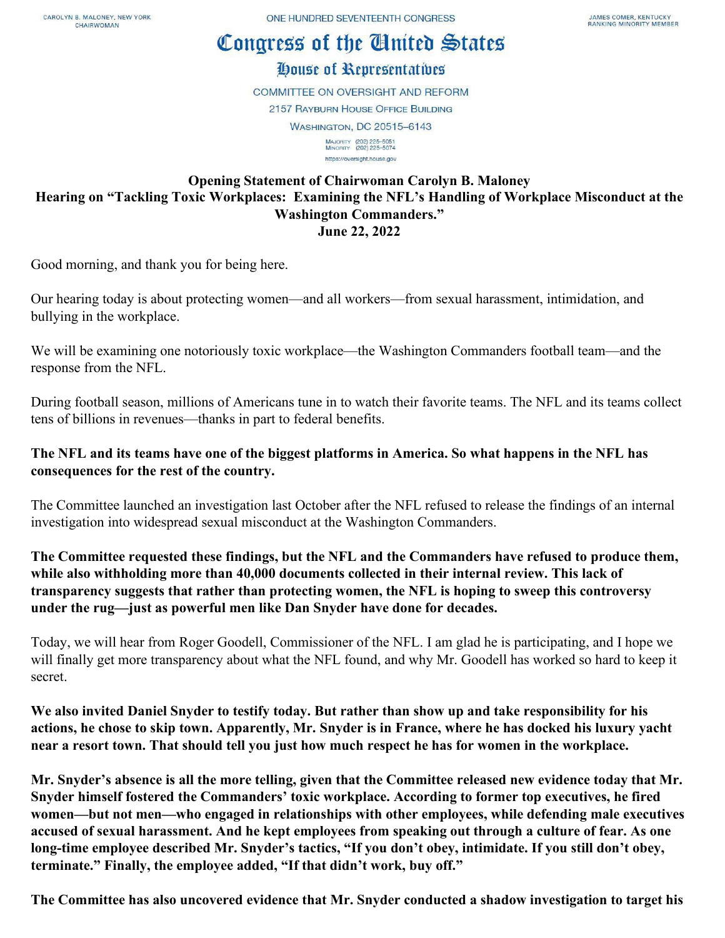## Congress of the Cinited States

## House of Representatives

**COMMITTEE ON OVERSIGHT AND REFORM 2157 RAYBURN HOUSE OFFICE BUILDING WASHINGTON, DC 20515-6143** MAJORITY (202) 225-5051<br>MINORITY (202) 225-5074 https://oversight.house.gov

## **Opening Statement of Chairwoman Carolyn B. Maloney Hearing on "Tackling Toxic Workplaces: Examining the NFL's Handling of Workplace Misconduct at the Washington Commanders." June 22, 2022**

Good morning, and thank you for being here.

Our hearing today is about protecting women—and all workers—from sexual harassment, intimidation, and bullying in the workplace.

We will be examining one notoriously toxic workplace—the Washington Commanders football team—and the response from the NFL.

During football season, millions of Americans tune in to watch their favorite teams. The NFL and its teams collect tens of billions in revenues—thanks in part to federal benefits.

## **The NFL and its teams have one of the biggest platforms in America. So what happens in the NFL has consequences for the rest of the country.**

The Committee launched an investigation last October after the NFL refused to release the findings of an internal investigation into widespread sexual misconduct at the Washington Commanders.

**The Committee requested these findings, but the NFL and the Commanders have refused to produce them, while also withholding more than 40,000 documents collected in their internal review. This lack of transparency suggests that rather than protecting women, the NFL is hoping to sweep this controversy under the rug—just as powerful men like Dan Snyder have done for decades.**

Today, we will hear from Roger Goodell, Commissioner of the NFL. I am glad he is participating, and I hope we will finally get more transparency about what the NFL found, and why Mr. Goodell has worked so hard to keep it secret.

**We also invited Daniel Snyder to testify today. But rather than show up and take responsibility for his actions, he chose to skip town. Apparently, Mr. Snyder is in France, where he has docked his luxury yacht near a resort town. That should tell you just how much respect he has for women in the workplace.**

**Mr. Snyder's absence is all the more telling, given that the Committee released new evidence today that Mr. Snyder himself fostered the Commanders' toxic workplace. According to former top executives, he fired women—but not men—who engaged in relationships with other employees, while defending male executives accused of sexual harassment. And he kept employees from speaking out through a culture of fear. As one long-time employee described Mr. Snyder's tactics, "If you don't obey, intimidate. If you still don't obey, terminate." Finally, the employee added, "If that didn't work, buy off."**

**The Committee has also uncovered evidence that Mr. Snyder conducted a shadow investigation to target his**